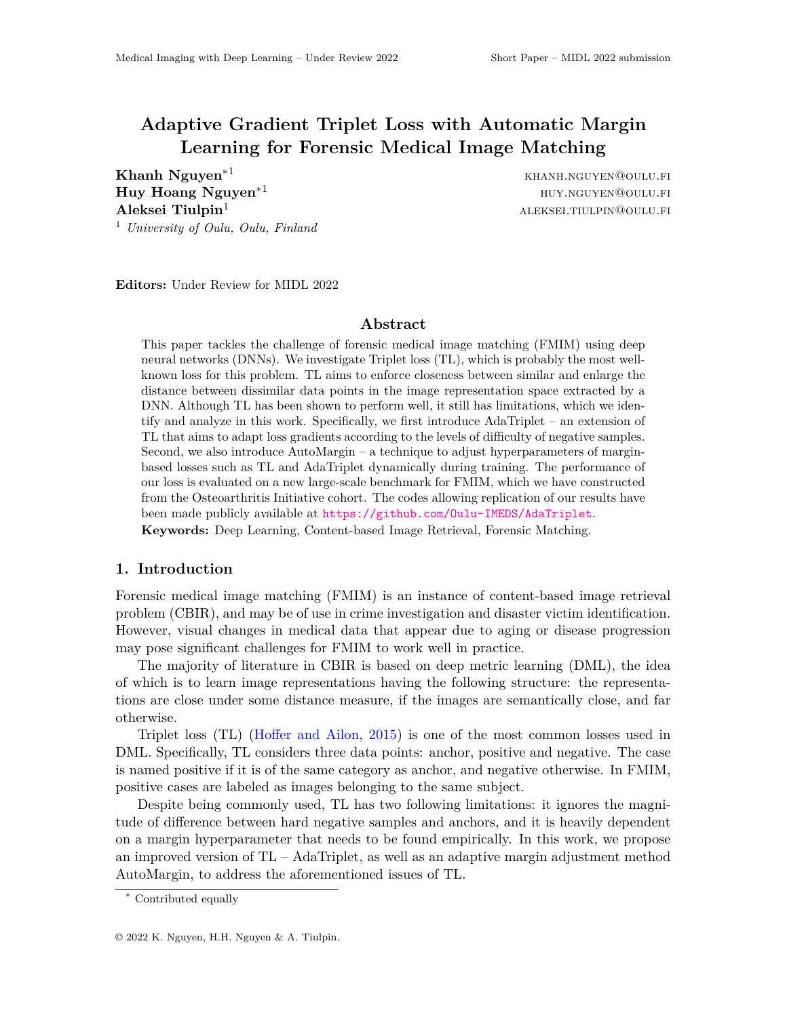# **Adaptive Gradient Triplet Loss with Automatic Margin Learning for Forensic Medical Image Matching**

**Khanh Nguyen<sup>∗1</sup>** khanh.nguyen<sup>∗1</sup> khanh.nguyen@oulu.Fi Huy Hoang Nguyen<sup>∗1</sup> huy.nguyen<sup>∗1</sup> huy.nguyen@oulu.fi **Aleksei Tiulpin<sup>1</sup> aleksei.** Tiulpin<sup>1</sup> aleksei.tiulpin@oulu.fi <sup>1</sup> *University of Oulu, Oulu, Finland*

**Editors:** Under Review for MIDL 2022

#### **Abstract**

This paper tackles the challenge of forensic medical image matching (FMIM) using deep neural networks (DNNs). We investigate Triplet loss (TL), which is probably the most wellknown loss for this problem. TL aims to enforce closeness between similar and enlarge the distance between dissimilar data points in the image representation space extracted by a DNN. Although TL has been shown to perform well, it still has limitations, which we identify and analyze in this work. Specifically, we first introduce AdaTriplet – an extension of TL that aims to adapt loss gradients according to the levels of difficulty of negative samples. Second, we also introduce AutoMargin – a technique to adjust hyperparameters of marginbased losses such as TL and AdaTriplet dynamically during training. The performance of our loss is evaluated on a new large-scale benchmark for FMIM, which we have constructed from the Osteoarthritis Initiative cohort. The codes allowing replication of our results have been made publicly available at <https://github.com/Oulu-IMEDS/AdaTriplet>.

**Keywords:** Deep Learning, Content-based Image Retrieval, Forensic Matching.

### **1. Introduction**

Forensic medical image matching (FMIM) is an instance of content-based image retrieval problem (CBIR), and may be of use in crime investigation and disaster victim identification. However, visual changes in medical data that appear due to aging or disease progression may pose significant challenges for FMIM to work well in practice.

The majority of literature in CBIR is based on deep metric learning (DML), the idea of which is to learn image representations having the following structure: the representations are close under some distance measure, if the images are semantically close, and far otherwise.

Triplet loss (TL) [\(Hoffer and Ailon,](#page-2-0) [2015\)](#page-2-0) is one of the most common losses used in DML. Specifically, TL considers three data points: anchor, positive and negative. The case is named positive if it is of the same category as anchor, and negative otherwise. In FMIM, positive cases are labeled as images belonging to the same subject.

Despite being commonly used, TL has two following limitations: it ignores the magnitude of difference between hard negative samples and anchors, and it is heavily dependent on a margin hyperparameter that needs to be found empirically. In this work, we propose an improved version of TL – AdaTriplet, as well as an adaptive margin adjustment method AutoMargin, to address the aforementioned issues of TL.

<sup>∗</sup> Contributed equally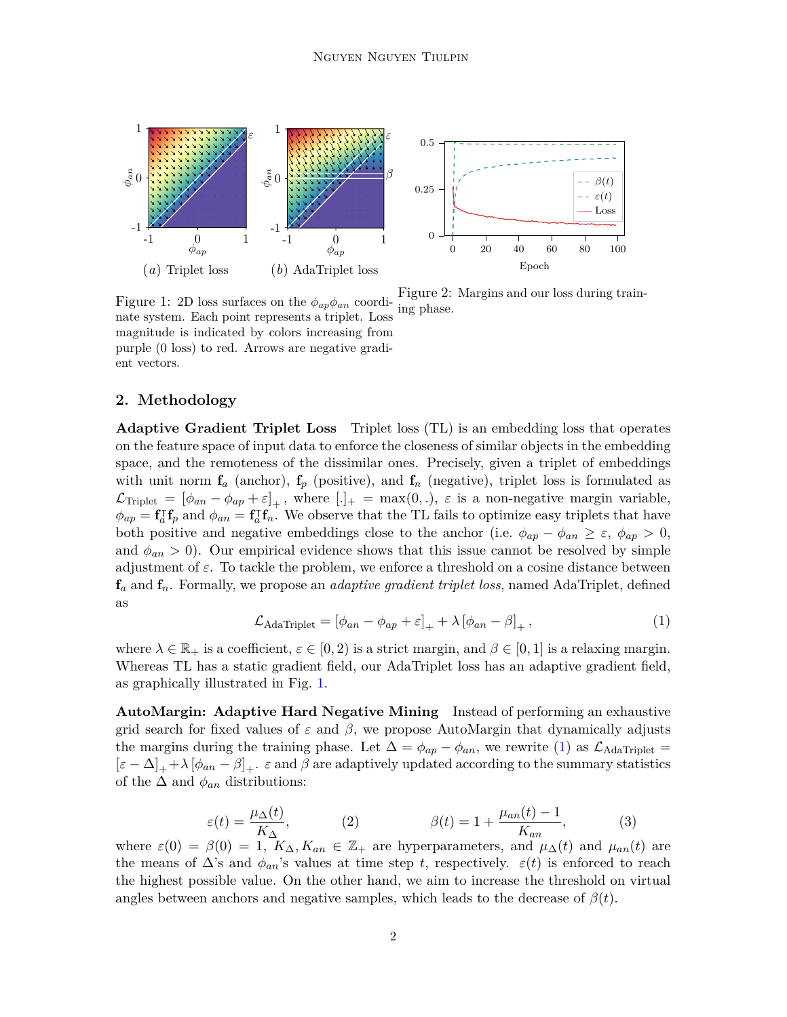<span id="page-1-0"></span>

Figure 1: 2D loss surfaces on the  $\phi_{ap}\phi_{an}$  coordinate system. Each point represents a triplet. Loss magnitude is indicated by colors increasing from purple (0 loss) to red. Arrows are negative gradient vectors.

Figure 2: Margins and our loss during training phase.

## **2. Methodology**

**Adaptive Gradient Triplet Loss** Triplet loss (TL) is an embedding loss that operates on the feature space of input data to enforce the closeness of similar objects in the embedding space, and the remoteness of the dissimilar ones. Precisely, given a triplet of embeddings with unit norm  $f_a$  (anchor),  $f_p$  (positive), and  $f_n$  (negative), triplet loss is formulated as  $\mathcal{L}_{\text{Triplet}} = [\phi_{an} - \phi_{ap} + \varepsilon]_+, \text{ where } [\cdot]_+ = \max(0, .), \varepsilon \text{ is a non-negative margin variable, }$  $\phi_{ap} = \mathbf{f}^\intercal_a$  $a^{\dagger}$ **f**<sub>*p*</sub> and  $\phi_{an} = \mathbf{f}_a^{\dagger}$  $a^{\dagger}$ **f**<sub>*n*</sub>. We observe that the TL fails to optimize easy triplets that have both positive and negative embeddings close to the anchor (i.e.  $\phi_{ap} - \phi_{an} \geq \varepsilon$ ,  $\phi_{ap} > 0$ , and  $\phi_{an} > 0$ ). Our empirical evidence shows that this issue cannot be resolved by simple adjustment of  $\varepsilon$ . To tackle the problem, we enforce a threshold on a cosine distance between **f***<sup>a</sup>* and **f***n*. Formally, we propose an *adaptive gradient triplet loss*, named AdaTriplet, defined as

<span id="page-1-1"></span>
$$
\mathcal{L}_{\text{AdaTriplet}} = [\phi_{an} - \phi_{ap} + \varepsilon]_+ + \lambda [\phi_{an} - \beta]_+, \tag{1}
$$

where  $\lambda \in \mathbb{R}_+$  is a coefficient,  $\varepsilon \in [0, 2)$  is a strict margin, and  $\beta \in [0, 1]$  is a relaxing margin. Whereas TL has a static gradient field, our AdaTriplet loss has an adaptive gradient field, as graphically illustrated in Fig. [1.](#page-1-0)

**AutoMargin: Adaptive Hard Negative Mining** Instead of performing an exhaustive grid search for fixed values of  $\varepsilon$  and  $\beta$ , we propose AutoMargin that dynamically adjusts the margins during the training phase. Let  $\Delta = \phi_{ap} - \phi_{an}$ , we rewrite [\(1\)](#page-1-1) as  $\mathcal{L}_{\text{AdaTriplet}} =$  $[\varepsilon - \Delta]_+ + \lambda [\phi_{an} - \beta]_+$ .  $\varepsilon$  and  $\beta$  are adaptively updated according to the summary statistics of the  $\Delta$  and  $\phi_{an}$  distributions:

$$
\varepsilon(t) = \frac{\mu_{\Delta}(t)}{K_{\Delta}}, \qquad (2) \qquad \beta(t) = 1 + \frac{\mu_{an}(t) - 1}{K_{an}}, \qquad (3)
$$

where  $\varepsilon(0) = \beta(0) = 1$ ,  $K_{\Delta}, K_{an} \in \mathbb{Z}_+$  are hyperparameters, and  $\mu_{\Delta}(t)$  and  $\mu_{an}(t)$  are the means of  $\Delta$ 's and  $\phi_{an}$ 's values at time step *t*, respectively.  $\varepsilon(t)$  is enforced to reach the highest possible value. On the other hand, we aim to increase the threshold on virtual angles between anchors and negative samples, which leads to the decrease of  $\beta(t)$ .